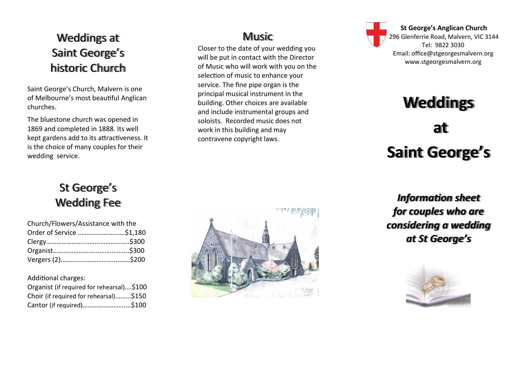#### Weddings at Saint George 's historic Church

Saint George 's Church, Malvern is one of Melbourne 's most beautiful Anglican churches.

The bluestone church was opened in 1869 and completed in 1888. Its well kept gardens add to its attractiveness. It is the choice of many couples for their wedding service.

#### Music

Closer to the date of your wedding you will be put in contact with the Director of Music who will work with you on the selection of music to enhance your service. The fine pipe organ is the principal musical instrument in the building. Other choices are available and include instrumental groups and soloists. Recorded music does not work in this building and may contravene copyright laws.



## **Weddings**

# **at Saint George ' s**

*Information sheet for couples who are considering a wedding at St George 's*



#### St George 's Wedding Fee

| Church/Flowers/Assistance with the |  |
|------------------------------------|--|
| Order of Service \$1,180           |  |
|                                    |  |
|                                    |  |
|                                    |  |

Additional charges:

| Organist (if required for rehearsal)\$100 |  |
|-------------------------------------------|--|
| Choir (if required for rehearsal)\$150    |  |
| Cantor (if required)\$100                 |  |